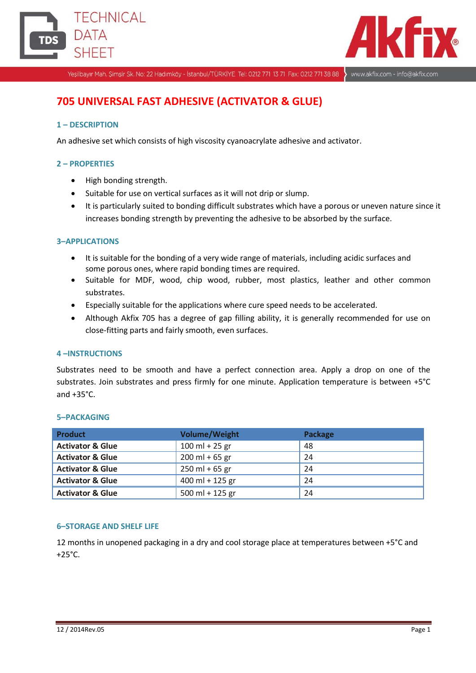



Yeşilbayır Mah. Şimşir Sk. No: 22 Hadımköy - İstanbul/TÜRKİYE Tel: 0212 771 13 71 Fax: 0212 771 38 88

www.akfix.com - info@akfix.com

# **705 UNIVERSAL FAST ADHESIVE (ACTIVATOR & GLUE)**

## **1 – DESCRIPTION**

An adhesive set which consists of high viscosity cyanoacrylate adhesive and activator.

### **2 – PROPERTIES**

- High bonding strength.
- Suitable for use on vertical surfaces as it will not drip or slump.
- It is particularly suited to bonding difficult substrates which have a porous or uneven nature since it increases bonding strength by preventing the adhesive to be absorbed by the surface.

#### **3–APPLICATIONS**

- It is suitable for the bonding of a very wide range of materials, including acidic surfaces and some porous ones, where rapid bonding times are required.
- Suitable for MDF, wood, chip wood, rubber, most plastics, leather and other common substrates.
- Especially suitable for the applications where cure speed needs to be accelerated.
- Although Akfix 705 has a degree of gap filling ability, it is generally recommended for use on close-fitting parts and fairly smooth, even surfaces.

#### **4 –INSTRUCTIONS**

Substrates need to be smooth and have a perfect connection area. Apply a drop on one of the substrates. Join substrates and press firmly for one minute. Application temperature is between +5°C and  $+35^{\circ}$ C.

| <b>Product</b>              | <b>Volume/Weight</b> | Package |
|-----------------------------|----------------------|---------|
| <b>Activator &amp; Glue</b> | $100$ ml + 25 gr     | 48      |
| <b>Activator &amp; Glue</b> | $200$ ml + 65 gr     | 24      |
| <b>Activator &amp; Glue</b> | $250$ ml + 65 gr     | 24      |
| <b>Activator &amp; Glue</b> | $400$ ml + 125 gr    | 24      |
| <b>Activator &amp; Glue</b> | 500 ml + 125 gr      | 24      |

#### **5–PACKAGING**

#### **6–STORAGE AND SHELF LIFE**

12 months in unopened packaging in a dry and cool storage place at temperatures between +5°C and  $+25^{\circ}$ C.